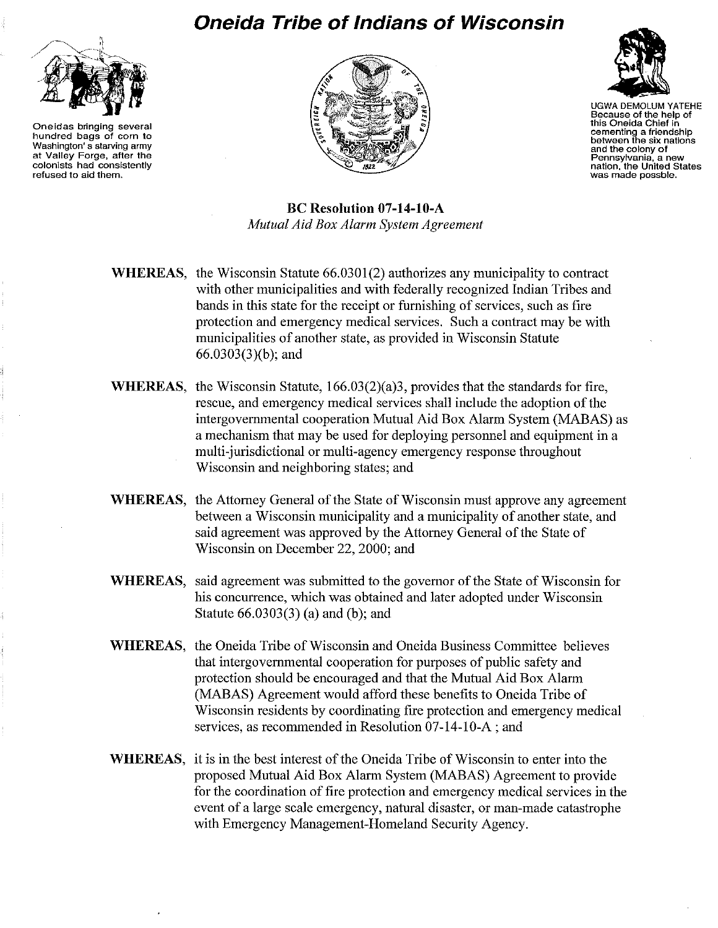

**Oneidas bringing several hundred bags of corn to Washington's starving army at Valley Forge, after the colonists had consistently refused to aid them.** 

## **Oneida Tribe of Indians of Wisconsin**





UGWA DEMOLUM YATEHE **Because of the help of this Oneida Chief in cementing a friendship between the six nations and the colony of Pennsylvania, a new nation, the United States was made possble.** 

**Be Resolution 07-14-10-A**  *Mutual Aid Box Alarm System Agreement* 

**WHEREAS,** the Wisconsin Statute 66.0301(2) authorizes any municipality to contract with other municipalities and with federally recognized Indian Tribes and bands in this state for the receipt or furnishing of services, such as fire protection and emergency medical services. Such a contract may be with municipalities of another state, as provided in Wisconsin Statute 66.0303(3)(b); and

- **WHEREAS,** the Wisconsin Statute, 166.03(2)(a)3, provides that the standards for fire, rescue, and emergency medical services shall include the adoption of the intergovernmental cooperation Mutual Aid Box Alarm System (MABAS) as a mechanism that may be used for deploying personnel and equipment in a multi-jurisdictional or multi-agency emergency response throughout Wisconsin and neighboring states; and
- **WHEREAS,** the Attorney General of the State of Wisconsin must approve any agreement between a Wisconsin municipality and a municipality of another state, and said agreement was approved by the Attorney General of the State of Wisconsin on December 22, 2000; and
- **WHEREAS,** said agreement was submitted to the governor of the State of Wisconsin for his concurrence, which was obtained and later adopted under Wisconsin Statute 66.0303(3) (a) and (b); and
- **WHEREAS,** the Oneida Tribe of Wisconsin and Oneida Business Committee believes that intergovernmental cooperation for purposes of public safety and protection should be encouraged and that the Mutual Aid Box Alarm (MABAS) Agreement would afford these benefits to Oneida Tribe of Wisconsin residents by coordinating fire protection and emergency medical services, as recommended in Resolution 07-14-1O-A; and
- **WHEREAS,** it is in the best interest of the Oneida Tribe of Wisconsin to enter into the proposed Mutual **Aid** Box **Alarm** System (MABAS) Agreement to provide for the coordination of fire protection and emergency medical services in the event of a large scale emergency, natural disaster, or man-made catastrophe with Emergency Management-Homeland Security Agency.